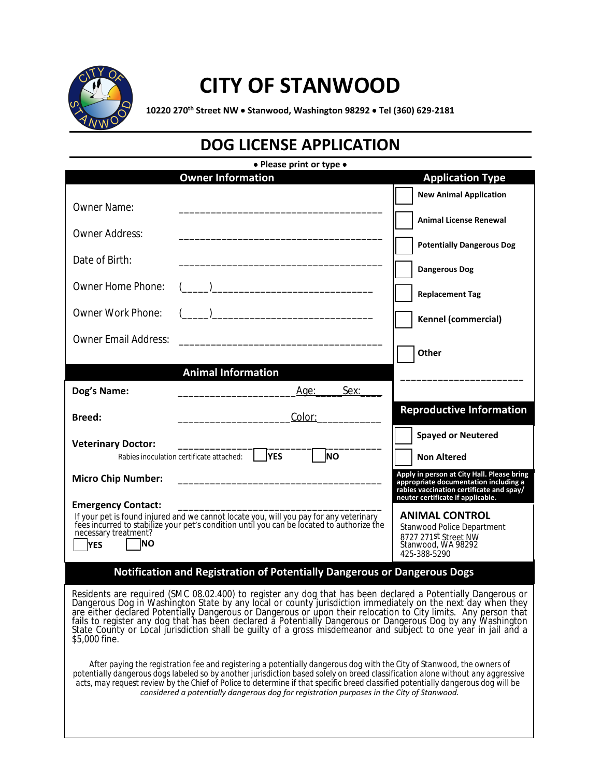

## **CITY OF STANWOOD**

**10220 270th Street NW** · **Stanwood, Washington 98292** · **Tel (360) 629-2181**

|  | <b>DOG LICENSE APPLICATION</b> |
|--|--------------------------------|
|--|--------------------------------|

| • Please print or type •                  |                                                                                                                                                                                                                                                                                                                                                                                                                                                                                            |                                                                                     |  |
|-------------------------------------------|--------------------------------------------------------------------------------------------------------------------------------------------------------------------------------------------------------------------------------------------------------------------------------------------------------------------------------------------------------------------------------------------------------------------------------------------------------------------------------------------|-------------------------------------------------------------------------------------|--|
|                                           | <b>Owner Information</b>                                                                                                                                                                                                                                                                                                                                                                                                                                                                   | <b>Application Type</b>                                                             |  |
| <b>Owner Name:</b>                        |                                                                                                                                                                                                                                                                                                                                                                                                                                                                                            | <b>New Animal Application</b>                                                       |  |
| <b>Owner Address:</b>                     |                                                                                                                                                                                                                                                                                                                                                                                                                                                                                            | <b>Animal License Renewal</b>                                                       |  |
|                                           |                                                                                                                                                                                                                                                                                                                                                                                                                                                                                            | <b>Potentially Dangerous Dog</b>                                                    |  |
| Date of Birth:                            |                                                                                                                                                                                                                                                                                                                                                                                                                                                                                            | <b>Dangerous Dog</b>                                                                |  |
| Owner Home Phone:                         | $\overline{\phantom{a}}$ ) $\overline{\phantom{a}}$ ( $\overline{\phantom{a}}$ ) $\overline{\phantom{a}}$ ( $\overline{\phantom{a}}$ ) $\overline{\phantom{a}}$ ( $\overline{\phantom{a}}$ ) $\overline{\phantom{a}}$                                                                                                                                                                                                                                                                      | <b>Replacement Tag</b>                                                              |  |
| <b>Owner Work Phone:</b>                  | ) and the contract of the contract of $\mathcal{L}$                                                                                                                                                                                                                                                                                                                                                                                                                                        | <b>Kennel (commercial)</b>                                                          |  |
| <b>Owner Email Address:</b>               |                                                                                                                                                                                                                                                                                                                                                                                                                                                                                            |                                                                                     |  |
|                                           |                                                                                                                                                                                                                                                                                                                                                                                                                                                                                            | Other                                                                               |  |
|                                           | <b>Animal Information</b>                                                                                                                                                                                                                                                                                                                                                                                                                                                                  |                                                                                     |  |
| Dog's Name:                               | Sex:<br>Age:                                                                                                                                                                                                                                                                                                                                                                                                                                                                               |                                                                                     |  |
| <b>Breed:</b>                             | Color:                                                                                                                                                                                                                                                                                                                                                                                                                                                                                     | <b>Reproductive Information</b>                                                     |  |
| <b>Veterinary Doctor:</b>                 |                                                                                                                                                                                                                                                                                                                                                                                                                                                                                            | <b>Spayed or Neutered</b>                                                           |  |
|                                           | lno<br><b>YES</b><br>Rabies inoculation certificate attached:                                                                                                                                                                                                                                                                                                                                                                                                                              | <b>Non Altered</b>                                                                  |  |
| <b>Micro Chip Number:</b>                 |                                                                                                                                                                                                                                                                                                                                                                                                                                                                                            | Apply in person at City Hall. Please bring<br>appropriate documentation including a |  |
| <b>Emergency Contact:</b>                 |                                                                                                                                                                                                                                                                                                                                                                                                                                                                                            | rabies vaccination certificate and spay/<br>neuter certificate if applicable.       |  |
|                                           | If your pet is found injured and we cannot locate you, will you pay for any veterinary<br>fees incurred to stabilize your pet's condition until you can be located to authorize the                                                                                                                                                                                                                                                                                                        | <b>ANIMAL CONTROL</b>                                                               |  |
| necessary treatment?<br>INO<br><b>YES</b> |                                                                                                                                                                                                                                                                                                                                                                                                                                                                                            | Stanwood Police Department<br>8727 271st Street NW<br>Stanwood, WA 98292            |  |
|                                           |                                                                                                                                                                                                                                                                                                                                                                                                                                                                                            | 425-388-5290                                                                        |  |
|                                           | Notification and Registration of Potentially Dangerous or Dangerous Dogs                                                                                                                                                                                                                                                                                                                                                                                                                   |                                                                                     |  |
|                                           | Residents are required (SMC 08.02.400) to register any dog that has been declared a Potentially Dangerous or<br>Dangerous Dog in Washington State by any local or county jurisdiction immediately on the next day when they<br>are either declared Potentially Dangerous or Dangerous or upon their relocation to City limits. Any person that                                                                                                                                             |                                                                                     |  |
| \$5,000 fine.                             | fails to register any dog that has been declared a Potentially Dangerous or Dangerous Dog by any Washington<br>State County or Local jurisdiction shall be quilty of a gross misdemeanor and subject to one year in jail and a                                                                                                                                                                                                                                                             |                                                                                     |  |
|                                           | After paying the registration fee and registering a potentially dangerous dog with the City of Stanwood, the owners of<br>potentially dangerous dogs labeled so by another jurisdiction based solely on breed classification alone without any aggressive<br>acts, may request review by the Chief of Police to determine if that specific breed classified potentially dangerous dog will be<br>considered a potentially dangerous dog for registration purposes in the City of Stanwood. |                                                                                     |  |